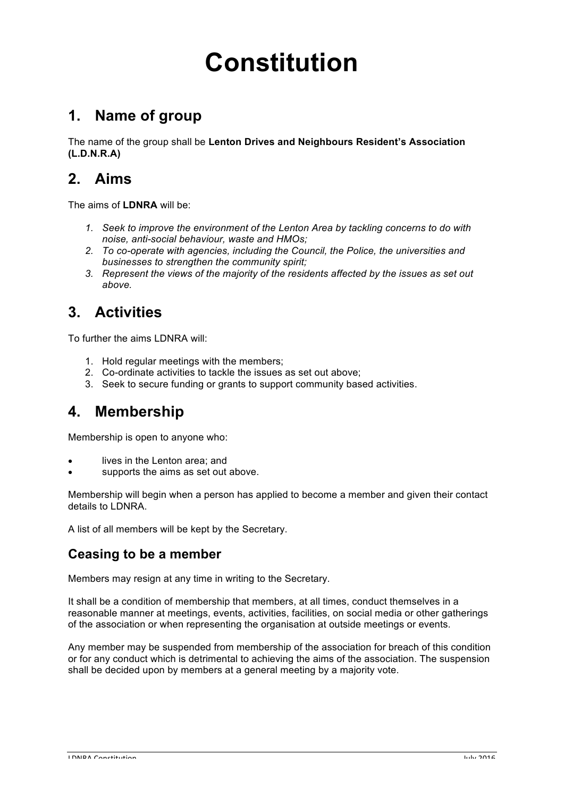# **Constitution**

# **1. Name of group**

The name of the group shall be **Lenton Drives and Neighbours Resident's Association (L.D.N.R.A)**

## **2. Aims**

The aims of **LDNRA** will be:

- *1. Seek to improve the environment of the Lenton Area by tackling concerns to do with noise, anti-social behaviour, waste and HMOs;*
- *2. To co-operate with agencies, including the Council, the Police, the universities and businesses to strengthen the community spirit;*
- *3. Represent the views of the majority of the residents affected by the issues as set out above.*

## **3. Activities**

To further the aims LDNRA will:

- 1. Hold regular meetings with the members;
- 2. Co-ordinate activities to tackle the issues as set out above;
- 3. Seek to secure funding or grants to support community based activities.

## **4. Membership**

Membership is open to anyone who:

- lives in the Lenton area; and
- supports the aims as set out above.

Membership will begin when a person has applied to become a member and given their contact details to LDNRA.

A list of all members will be kept by the Secretary.

#### **Ceasing to be a member**

Members may resign at any time in writing to the Secretary.

It shall be a condition of membership that members, at all times, conduct themselves in a reasonable manner at meetings, events, activities, facilities, on social media or other gatherings of the association or when representing the organisation at outside meetings or events.

Any member may be suspended from membership of the association for breach of this condition or for any conduct which is detrimental to achieving the aims of the association. The suspension shall be decided upon by members at a general meeting by a majority vote.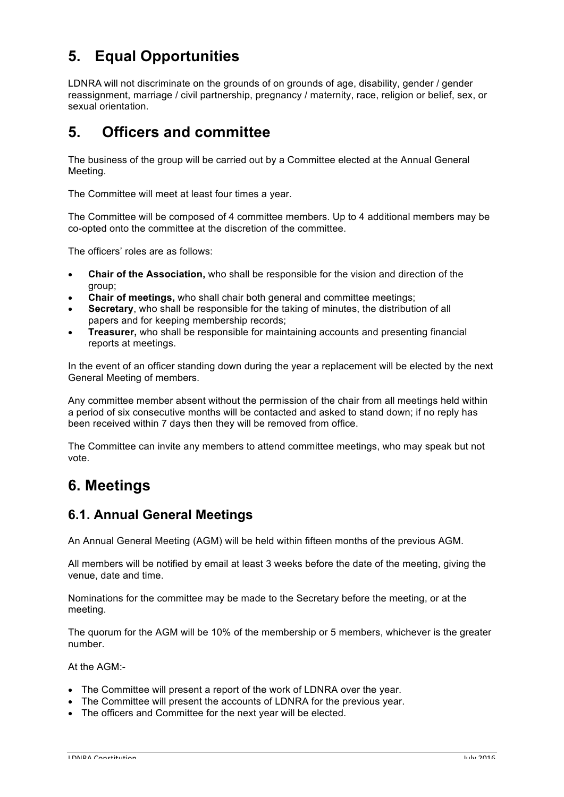# **5. Equal Opportunities**

LDNRA will not discriminate on the grounds of on grounds of age, disability, gender / gender reassignment, marriage / civil partnership, pregnancy / maternity, race, religion or belief, sex, or sexual orientation.

# **5. Officers and committee**

The business of the group will be carried out by a Committee elected at the Annual General Meeting.

The Committee will meet at least four times a year.

The Committee will be composed of 4 committee members. Up to 4 additional members may be co-opted onto the committee at the discretion of the committee.

The officers' roles are as follows:

- **Chair of the Association,** who shall be responsible for the vision and direction of the group;
- **Chair of meetings,** who shall chair both general and committee meetings;
- **Secretary**, who shall be responsible for the taking of minutes, the distribution of all papers and for keeping membership records;
- **Treasurer,** who shall be responsible for maintaining accounts and presenting financial reports at meetings.

In the event of an officer standing down during the year a replacement will be elected by the next General Meeting of members.

Any committee member absent without the permission of the chair from all meetings held within a period of six consecutive months will be contacted and asked to stand down; if no reply has been received within 7 days then they will be removed from office.

The Committee can invite any members to attend committee meetings, who may speak but not vote.

# **6. Meetings**

#### **6.1. Annual General Meetings**

An Annual General Meeting (AGM) will be held within fifteen months of the previous AGM.

All members will be notified by email at least 3 weeks before the date of the meeting, giving the venue, date and time.

Nominations for the committee may be made to the Secretary before the meeting, or at the meeting.

The quorum for the AGM will be 10% of the membership or 5 members, whichever is the greater number.

At the AGM:-

- The Committee will present a report of the work of LDNRA over the year.
- The Committee will present the accounts of LDNRA for the previous year.
- The officers and Committee for the next year will be elected.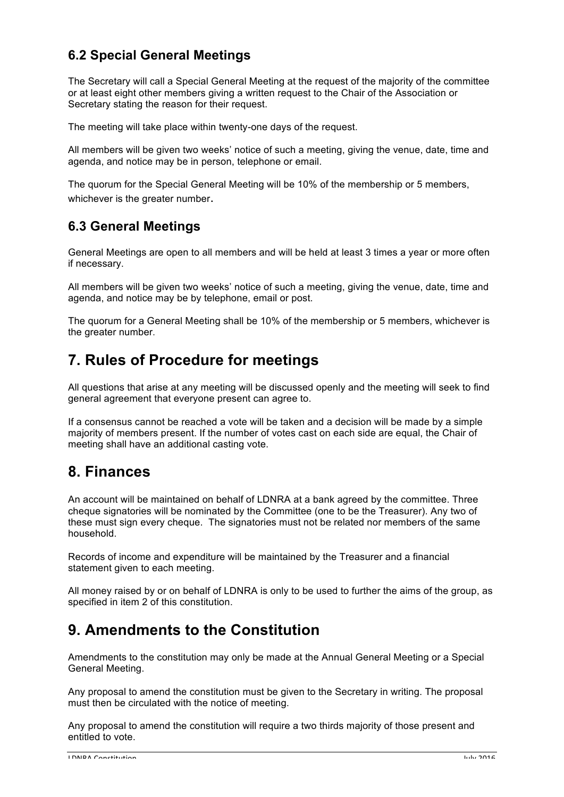#### **6.2 Special General Meetings**

The Secretary will call a Special General Meeting at the request of the majority of the committee or at least eight other members giving a written request to the Chair of the Association or Secretary stating the reason for their request.

The meeting will take place within twenty-one days of the request.

All members will be given two weeks' notice of such a meeting, giving the venue, date, time and agenda, and notice may be in person, telephone or email.

The quorum for the Special General Meeting will be 10% of the membership or 5 members, whichever is the greater number.

#### **6.3 General Meetings**

General Meetings are open to all members and will be held at least 3 times a year or more often if necessary.

All members will be given two weeks' notice of such a meeting, giving the venue, date, time and agenda, and notice may be by telephone, email or post.

The quorum for a General Meeting shall be 10% of the membership or 5 members, whichever is the greater number.

## **7. Rules of Procedure for meetings**

All questions that arise at any meeting will be discussed openly and the meeting will seek to find general agreement that everyone present can agree to.

If a consensus cannot be reached a vote will be taken and a decision will be made by a simple majority of members present. If the number of votes cast on each side are equal, the Chair of meeting shall have an additional casting vote.

#### **8. Finances**

An account will be maintained on behalf of LDNRA at a bank agreed by the committee. Three cheque signatories will be nominated by the Committee (one to be the Treasurer). Any two of these must sign every cheque. The signatories must not be related nor members of the same household.

Records of income and expenditure will be maintained by the Treasurer and a financial statement given to each meeting.

All money raised by or on behalf of LDNRA is only to be used to further the aims of the group, as specified in item 2 of this constitution.

## **9. Amendments to the Constitution**

Amendments to the constitution may only be made at the Annual General Meeting or a Special General Meeting.

Any proposal to amend the constitution must be given to the Secretary in writing. The proposal must then be circulated with the notice of meeting.

Any proposal to amend the constitution will require a two thirds majority of those present and entitled to vote.